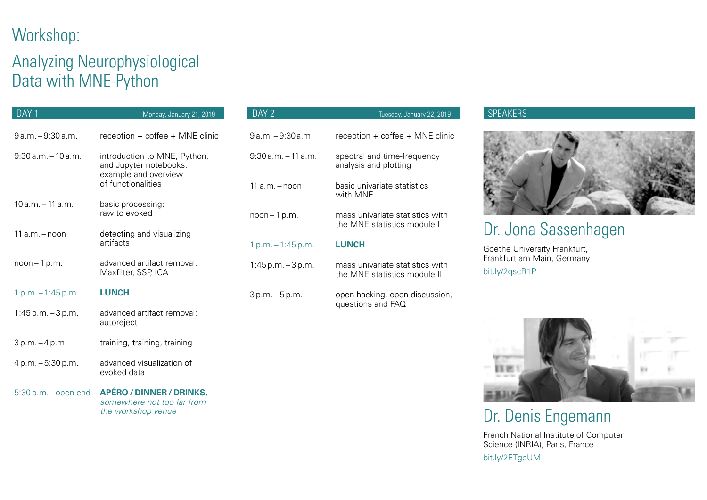## Workshop:

## Analyzing Neurophysiological Data with MNE-Python

the workshop venue

| DAY 1                    | Monday, January 21, 2019                                                       | DAY 2                  | Tuesday, January 22, 2019                                       |
|--------------------------|--------------------------------------------------------------------------------|------------------------|-----------------------------------------------------------------|
| $9a.m. - 9:30a.m.$       | reception + coffee + MNE clinic                                                | 9 a.m. - 9:30 a.m.     | reception + coffee + MNE clinic                                 |
| $9:30$ a.m. $-10$ a.m.   | introduction to MNE, Python,<br>and Jupyter notebooks:<br>example and overview | $9:30$ a.m. $-11$ a.m. | spectral and time-frequency<br>analysis and plotting            |
|                          | of functionalities                                                             | $11a.m. -$ noon        | basic univariate statistics<br>with MNE                         |
| $10 a.m. - 11 a.m.$      | basic processing:<br>raw to evoked                                             | $noon - 1 p.m.$        | mass univariate statistics with<br>the MNE statistics module I  |
| $11a.m. - noon$          | detecting and visualizing<br>artifacts                                         | $1 p.m. - 1:45 p.m.$   | <b>LUNCH</b>                                                    |
| $noon - 1 p.m.$          | advanced artifact removal:<br>Maxfilter, SSP, ICA                              | $1:45$ p.m. $-3$ p.m.  | mass univariate statistics with<br>the MNE statistics module II |
| $1 p.m. - 1:45 p.m.$     | <b>LUNCH</b>                                                                   | 3p.m. - 5p.m.          | open hacking, open discussion,                                  |
| $1:45 p.m. - 3 p.m.$     | advanced artifact removal:<br>autoreject                                       |                        | questions and FAQ                                               |
| $3 p.m. - 4 p.m.$        | training, training, training                                                   |                        |                                                                 |
| 4 p.m. - 5:30 p.m.       | advanced visualization of<br>evoked data                                       |                        |                                                                 |
| $5:30$ p.m. $-$ open end | APÉRO / DINNER / DRINKS,<br>somewhere not too far from                         |                        |                                                                 |

#### **SPEAKERS**



### Dr. Jona Sassenhagen

Goethe University Frankfurt, Frankfurt am Main, Germany bit.ly/2qscR1P



# Dr. Denis Engemann

French National Institute of Computer Science (INRIA), Paris, France bit.ly/2ETgpUM